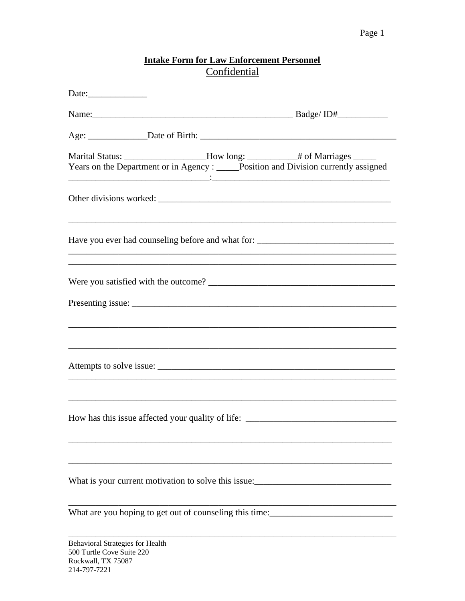## Intake Form for Law Enforcement Personnel<br>Confidential

| Date:                                                                                                                                                                                                                                                                                            |                                                                                  |
|--------------------------------------------------------------------------------------------------------------------------------------------------------------------------------------------------------------------------------------------------------------------------------------------------|----------------------------------------------------------------------------------|
|                                                                                                                                                                                                                                                                                                  |                                                                                  |
|                                                                                                                                                                                                                                                                                                  |                                                                                  |
| Marital Status: ____________________How long: _____________# of Marriages ______<br>Years on the Department or in Agency : _____Position and Division currently assigned<br><u> 1999 - Jan James James James James James James James James James James James James James James James James J</u> |                                                                                  |
| ,我们也不会有什么。""我们的人,我们也不会有什么?""我们的人,我们也不会有什么?""我们的人,我们也不会有什么?""我们的人,我们也不会有什么?""我们的人                                                                                                                                                                                                                 |                                                                                  |
| Have you ever had counseling before and what for: _______________________________                                                                                                                                                                                                                |                                                                                  |
|                                                                                                                                                                                                                                                                                                  |                                                                                  |
|                                                                                                                                                                                                                                                                                                  | ,我们也不会有什么。""我们的人,我们也不会有什么?""我们的人,我们也不会有什么?""我们的人,我们也不会有什么?""我们的人,我们也不会有什么?""我们的人 |
|                                                                                                                                                                                                                                                                                                  |                                                                                  |
| How has this issue affected your quality of life: _______________________________                                                                                                                                                                                                                |                                                                                  |
| What is your current motivation to solve this issue:                                                                                                                                                                                                                                             |                                                                                  |
|                                                                                                                                                                                                                                                                                                  |                                                                                  |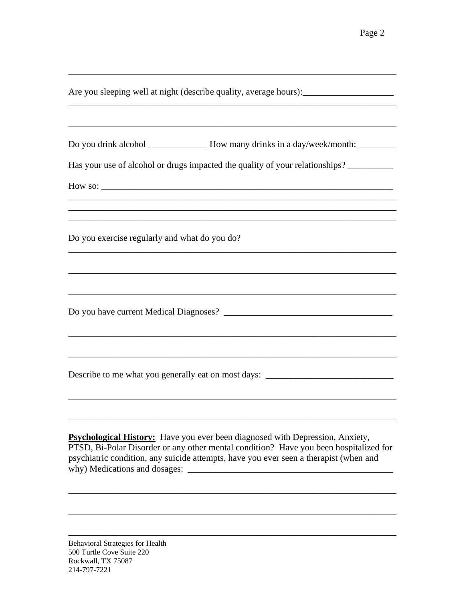| Do you drink alcohol ______________ How many drinks in a day/week/month: _______<br>Has your use of alcohol or drugs impacted the quality of your relationships?                                                                                                       |  |
|------------------------------------------------------------------------------------------------------------------------------------------------------------------------------------------------------------------------------------------------------------------------|--|
| ,我们也不会有什么。""我们的人,我们也不会有什么?""我们的人,我们也不会有什么?""我们的人,我们的人,我们也不会有什么?""我们的人,我们的人,我们的人,我<br>Do you exercise regularly and what do you do?                                                                                                                                     |  |
|                                                                                                                                                                                                                                                                        |  |
| Describe to me what you generally eat on most days: ____________________________                                                                                                                                                                                       |  |
| <b>Psychological History:</b> Have you ever been diagnosed with Depression, Anxiety,<br>PTSD, Bi-Polar Disorder or any other mental condition? Have you been hospitalized for<br>psychiatric condition, any suicide attempts, have you ever seen a therapist (when and |  |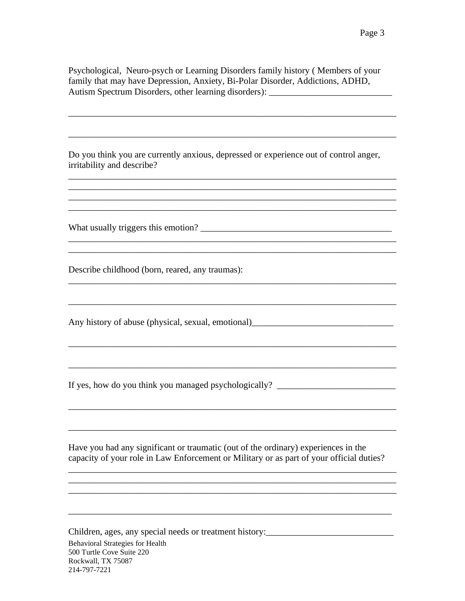Psychological, Neuro-psych or Learning Disorders family history ( Members of your family that may have Depression, Anxiety, Bi-Polar Disorder, Addictions, ADHD, Autism Spectrum Disorders, other learning disorders): \_\_\_\_\_\_\_\_\_\_\_\_\_\_\_\_\_\_\_\_\_\_\_\_\_\_

\_\_\_\_\_\_\_\_\_\_\_\_\_\_\_\_\_\_\_\_\_\_\_\_\_\_\_\_\_\_\_\_\_\_\_\_\_\_\_\_\_\_\_\_\_\_\_\_\_\_\_\_\_\_\_\_\_\_\_\_\_\_\_\_\_\_\_\_\_\_\_\_

\_\_\_\_\_\_\_\_\_\_\_\_\_\_\_\_\_\_\_\_\_\_\_\_\_\_\_\_\_\_\_\_\_\_\_\_\_\_\_\_\_\_\_\_\_\_\_\_\_\_\_\_\_\_\_\_\_\_\_\_\_\_\_\_\_\_\_\_\_\_\_\_

\_\_\_\_\_\_\_\_\_\_\_\_\_\_\_\_\_\_\_\_\_\_\_\_\_\_\_\_\_\_\_\_\_\_\_\_\_\_\_\_\_\_\_\_\_\_\_\_\_\_\_\_\_\_\_\_\_\_\_\_\_\_\_\_\_\_\_\_\_\_\_\_ \_\_\_\_\_\_\_\_\_\_\_\_\_\_\_\_\_\_\_\_\_\_\_\_\_\_\_\_\_\_\_\_\_\_\_\_\_\_\_\_\_\_\_\_\_\_\_\_\_\_\_\_\_\_\_\_\_\_\_\_\_\_\_\_\_\_\_\_\_\_\_\_ \_\_\_\_\_\_\_\_\_\_\_\_\_\_\_\_\_\_\_\_\_\_\_\_\_\_\_\_\_\_\_\_\_\_\_\_\_\_\_\_\_\_\_\_\_\_\_\_\_\_\_\_\_\_\_\_\_\_\_\_\_\_\_\_\_\_\_\_\_\_\_\_ \_\_\_\_\_\_\_\_\_\_\_\_\_\_\_\_\_\_\_\_\_\_\_\_\_\_\_\_\_\_\_\_\_\_\_\_\_\_\_\_\_\_\_\_\_\_\_\_\_\_\_\_\_\_\_\_\_\_\_\_\_\_\_\_\_\_\_\_\_\_\_\_

\_\_\_\_\_\_\_\_\_\_\_\_\_\_\_\_\_\_\_\_\_\_\_\_\_\_\_\_\_\_\_\_\_\_\_\_\_\_\_\_\_\_\_\_\_\_\_\_\_\_\_\_\_\_\_\_\_\_\_\_\_\_\_\_\_\_\_\_\_\_\_\_ \_\_\_\_\_\_\_\_\_\_\_\_\_\_\_\_\_\_\_\_\_\_\_\_\_\_\_\_\_\_\_\_\_\_\_\_\_\_\_\_\_\_\_\_\_\_\_\_\_\_\_\_\_\_\_\_\_\_\_\_\_\_\_\_\_\_\_\_\_\_\_\_

\_\_\_\_\_\_\_\_\_\_\_\_\_\_\_\_\_\_\_\_\_\_\_\_\_\_\_\_\_\_\_\_\_\_\_\_\_\_\_\_\_\_\_\_\_\_\_\_\_\_\_\_\_\_\_\_\_\_\_\_\_\_\_\_\_\_\_\_\_\_\_\_

\_\_\_\_\_\_\_\_\_\_\_\_\_\_\_\_\_\_\_\_\_\_\_\_\_\_\_\_\_\_\_\_\_\_\_\_\_\_\_\_\_\_\_\_\_\_\_\_\_\_\_\_\_\_\_\_\_\_\_\_\_\_\_\_\_\_\_\_\_\_\_\_

\_\_\_\_\_\_\_\_\_\_\_\_\_\_\_\_\_\_\_\_\_\_\_\_\_\_\_\_\_\_\_\_\_\_\_\_\_\_\_\_\_\_\_\_\_\_\_\_\_\_\_\_\_\_\_\_\_\_\_\_\_\_\_\_\_\_\_\_\_\_\_\_

\_\_\_\_\_\_\_\_\_\_\_\_\_\_\_\_\_\_\_\_\_\_\_\_\_\_\_\_\_\_\_\_\_\_\_\_\_\_\_\_\_\_\_\_\_\_\_\_\_\_\_\_\_\_\_\_\_\_\_\_\_\_\_\_\_\_\_\_\_\_\_\_

\_\_\_\_\_\_\_\_\_\_\_\_\_\_\_\_\_\_\_\_\_\_\_\_\_\_\_\_\_\_\_\_\_\_\_\_\_\_\_\_\_\_\_\_\_\_\_\_\_\_\_\_\_\_\_\_\_\_\_\_\_\_\_\_\_\_\_\_\_\_\_\_

\_\_\_\_\_\_\_\_\_\_\_\_\_\_\_\_\_\_\_\_\_\_\_\_\_\_\_\_\_\_\_\_\_\_\_\_\_\_\_\_\_\_\_\_\_\_\_\_\_\_\_\_\_\_\_\_\_\_\_\_\_\_\_\_\_\_\_\_\_\_\_\_

Do you think you are currently anxious, depressed or experience out of control anger, irritability and describe?

What usually triggers this emotion?

Describe childhood (born, reared, any traumas):

Any history of abuse (physical, sexual, emotional)\_\_\_\_\_\_\_\_\_\_\_\_\_\_\_\_\_\_\_\_\_\_\_\_\_\_\_\_\_\_

If yes, how do you think you managed psychologically? \_\_\_\_\_\_\_\_\_\_\_\_\_\_\_\_\_\_\_\_\_\_\_\_\_\_\_

Have you had any significant or traumatic (out of the ordinary) experiences in the capacity of your role in Law Enforcement or Military or as part of your official duties?

\_\_\_\_\_\_\_\_\_\_\_\_\_\_\_\_\_\_\_\_\_\_\_\_\_\_\_\_\_\_\_\_\_\_\_\_\_\_\_\_\_\_\_\_\_\_\_\_\_\_\_\_\_\_\_\_\_\_\_\_\_\_\_\_\_\_\_\_\_\_\_\_

\_\_\_\_\_\_\_\_\_\_\_\_\_\_\_\_\_\_\_\_\_\_\_\_\_\_\_\_\_\_\_\_\_\_\_\_\_\_\_\_\_\_\_\_\_\_\_\_\_\_\_\_\_\_\_\_\_\_\_\_\_\_\_\_\_\_\_\_\_\_\_\_

\_\_\_\_\_\_\_\_\_\_\_\_\_\_\_\_\_\_\_\_\_\_\_\_\_\_\_\_\_\_\_\_\_\_\_\_\_\_\_\_\_\_\_\_\_\_\_\_\_\_\_\_\_\_\_\_\_\_\_\_\_\_\_\_\_\_\_\_\_\_\_

Behavioral Strategies for Health 500 Turtle Cove Suite 220 Rockwall, TX 75087 214-797-7221 Children, ages, any special needs or treatment history: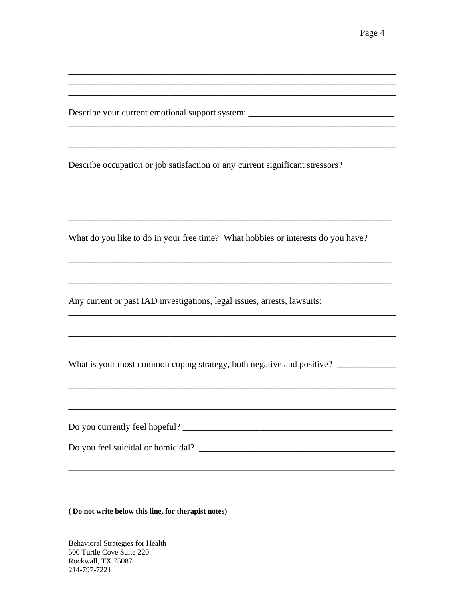Describe your current emotional support system: \_\_\_\_\_\_\_\_\_\_\_\_\_\_\_\_\_\_\_\_\_\_\_\_\_\_\_\_\_\_\_\_

Describe occupation or job satisfaction or any current significant stressors?

What do you like to do in your free time? What hobbies or interests do you have?

Any current or past IAD investigations, legal issues, arrests, lawsuits:

What is your most common coping strategy, both negative and positive? \_\_\_\_\_\_\_\_\_\_\_

Do you currently feel hopeful?

(Do not write below this line, for therapist notes)

**Behavioral Strategies for Health** 500 Turtle Cove Suite 220 Rockwall, TX 75087 214-797-7221